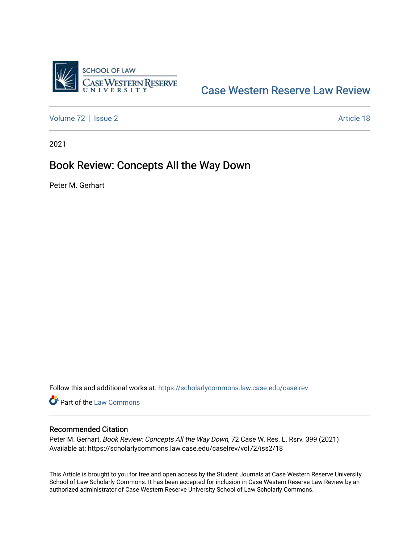

## [Case Western Reserve Law Review](https://scholarlycommons.law.case.edu/caselrev)

[Volume 72](https://scholarlycommons.law.case.edu/caselrev/vol72) | [Issue 2](https://scholarlycommons.law.case.edu/caselrev/vol72/iss2) Article 18

2021

## Book Review: Concepts All the Way Down

Peter M. Gerhart

Follow this and additional works at: [https://scholarlycommons.law.case.edu/caselrev](https://scholarlycommons.law.case.edu/caselrev?utm_source=scholarlycommons.law.case.edu%2Fcaselrev%2Fvol72%2Fiss2%2F18&utm_medium=PDF&utm_campaign=PDFCoverPages)

Part of the [Law Commons](https://network.bepress.com/hgg/discipline/578?utm_source=scholarlycommons.law.case.edu%2Fcaselrev%2Fvol72%2Fiss2%2F18&utm_medium=PDF&utm_campaign=PDFCoverPages)

## Recommended Citation

Peter M. Gerhart, Book Review: Concepts All the Way Down, 72 Case W. Res. L. Rsrv. 399 (2021) Available at: https://scholarlycommons.law.case.edu/caselrev/vol72/iss2/18

This Article is brought to you for free and open access by the Student Journals at Case Western Reserve University School of Law Scholarly Commons. It has been accepted for inclusion in Case Western Reserve Law Review by an authorized administrator of Case Western Reserve University School of Law Scholarly Commons.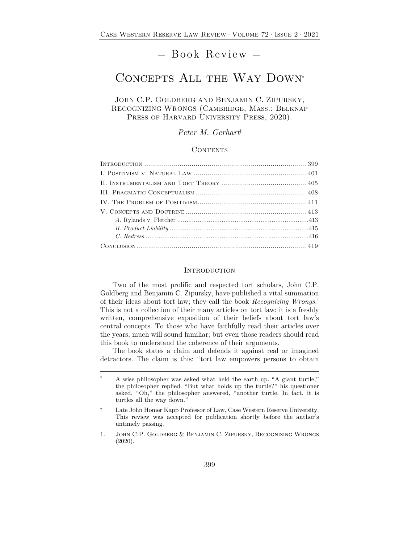# — Book Review —

## CONCEPTS ALL THE WAY DOWN\*

JOHN C.P. GOLDBERG AND BENJAMIN C. ZIPURSKY, RECOGNIZING WRONGS (Cambridge, Mass.: Belknap PRESS OF HARVARD UNIVERSITY PRESS, 2020).

*Peter M. Gerhart*†

#### CONTENTS

#### **INTRODUCTION**

Two of the most prolific and respected tort scholars, John C.P. Goldberg and Benjamin C. Zipursky, have published a vital summation of their ideas about tort law; they call the book *Recognizing Wrongs.*<sup>1</sup> This is not a collection of their many articles on tort law; it is a freshly written, comprehensive exposition of their beliefs about tort law's central concepts. To those who have faithfully read their articles over the years, much will sound familiar; but even those readers should read this book to understand the coherence of their arguments.

The book states a claim and defends it against real or imagined detractors. The claim is this: "tort law empowers persons to obtain

<sup>\*</sup> A wise philosopher was asked what held the earth up. "A giant turtle," the philosopher replied. "But what holds up the turtle?" his questioner asked. "Oh," the philosopher answered, "another turtle. In fact, it is turtles all the way down."

<sup>†</sup> Late John Homer Kapp Professor of Law, Case Western Reserve University. This review was accepted for publication shortly before the author's untimely passing.

<sup>1.</sup> John C.P. Goldberg & Benjamin C. Zipursky, Recognizing Wrongs (2020).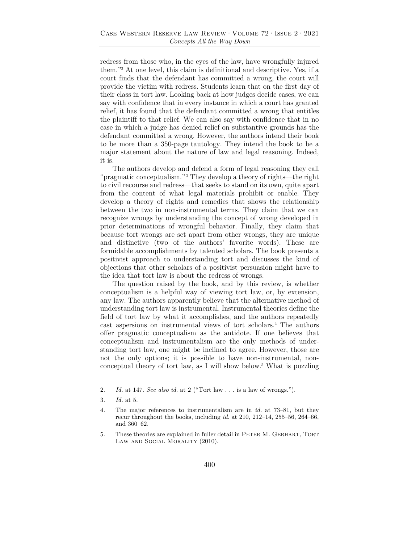redress from those who, in the eyes of the law, have wrongfully injured them."2 At one level, this claim is definitional and descriptive. Yes, if a court finds that the defendant has committed a wrong, the court will provide the victim with redress. Students learn that on the first day of their class in tort law. Looking back at how judges decide cases, we can say with confidence that in every instance in which a court has granted relief, it has found that the defendant committed a wrong that entitles the plaintiff to that relief. We can also say with confidence that in no case in which a judge has denied relief on substantive grounds has the defendant committed a wrong. However, the authors intend their book to be more than a 350-page tautology. They intend the book to be a major statement about the nature of law and legal reasoning. Indeed, it is.

The authors develop and defend a form of legal reasoning they call "pragmatic conceptualism."<sup>3</sup> They develop a theory of rights—the right to civil recourse and redress—that seeks to stand on its own, quite apart from the content of what legal materials prohibit or enable. They develop a theory of rights and remedies that shows the relationship between the two in non-instrumental terms. They claim that we can recognize wrongs by understanding the concept of wrong developed in prior determinations of wrongful behavior. Finally, they claim that because tort wrongs are set apart from other wrongs, they are unique and distinctive (two of the authors' favorite words). These are formidable accomplishments by talented scholars. The book presents a positivist approach to understanding tort and discusses the kind of objections that other scholars of a positivist persuasion might have to the idea that tort law is about the redress of wrongs.

The question raised by the book, and by this review, is whether conceptualism is a helpful way of viewing tort law, or, by extension, any law. The authors apparently believe that the alternative method of understanding tort law is instrumental. Instrumental theories define the field of tort law by what it accomplishes, and the authors repeatedly cast aspersions on instrumental views of tort scholars.4 The authors offer pragmatic conceptualism as the antidote. If one believes that conceptualism and instrumentalism are the only methods of understanding tort law, one might be inclined to agree. However, those are not the only options; it is possible to have non-instrumental, nonconceptual theory of tort law, as I will show below.5 What is puzzling

<sup>2.</sup> *Id.* at 147. *See also id.* at 2 ("Tort law . . . is a law of wrongs.").

<sup>3.</sup> *Id.* at 5.

<sup>4.</sup> The major references to instrumentalism are in *id.* at 73–81, but they recur throughout the books, including *id.* at 210, 212–14, 255–56, 264–66, and 360–62.

<sup>5.</sup> These theories are explained in fuller detail in PETER M. GERHART, TORT LAW AND SOCIAL MORALITY (2010).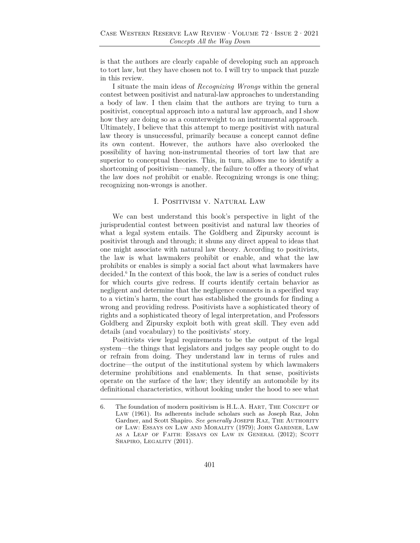is that the authors are clearly capable of developing such an approach to tort law, but they have chosen not to. I will try to unpack that puzzle in this review.

I situate the main ideas of *Recognizing Wrongs* within the general contest between positivist and natural-law approaches to understanding a body of law. I then claim that the authors are trying to turn a positivist, conceptual approach into a natural law approach, and I show how they are doing so as a counterweight to an instrumental approach. Ultimately, I believe that this attempt to merge positivist with natural law theory is unsuccessful, primarily because a concept cannot define its own content. However, the authors have also overlooked the possibility of having non-instrumental theories of tort law that are superior to conceptual theories. This, in turn, allows me to identify a shortcoming of positivism—namely, the failure to offer a theory of what the law does *not* prohibit or enable. Recognizing wrongs is one thing; recognizing non-wrongs is another.

## I. Positivism v. Natural Law

We can best understand this book's perspective in light of the jurisprudential contest between positivist and natural law theories of what a legal system entails. The Goldberg and Zipursky account is positivist through and through; it shuns any direct appeal to ideas that one might associate with natural law theory. According to positivists, the law is what lawmakers prohibit or enable, and what the law prohibits or enables is simply a social fact about what lawmakers have decided.<sup>6</sup> In the context of this book, the law is a series of conduct rules for which courts give redress. If courts identify certain behavior as negligent and determine that the negligence connects in a specified way to a victim's harm, the court has established the grounds for finding a wrong and providing redress. Positivists have a sophisticated theory of rights and a sophisticated theory of legal interpretation, and Professors Goldberg and Zipursky exploit both with great skill. They even add details (and vocabulary) to the positivists' story.

Positivists view legal requirements to be the output of the legal system—the things that legislators and judges say people ought to do or refrain from doing. They understand law in terms of rules and doctrine—the output of the institutional system by which lawmakers determine prohibitions and enablements. In that sense, positivists operate on the surface of the law; they identify an automobile by its definitional characteristics, without looking under the hood to see what

<sup>6.</sup> The foundation of modern positivism is H.L.A. HART, THE CONCEPT OF Law (1961). Its adherents include scholars such as Joseph Raz, John Gardner, and Scott Shapiro. *See generally* Joseph Raz, The Authority of Law: Essays on Law and Morality (1979); John Gardner, Law as a Leap of Faith: Essays on Law in General (2012); Scott SHAPIRO, LEGALITY (2011).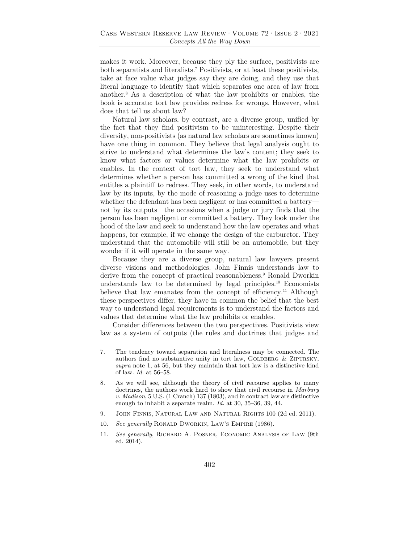makes it work. Moreover, because they ply the surface, positivists are both separatists and literalists.7 Positivists, or at least these positivists, take at face value what judges say they are doing, and they use that literal language to identify that which separates one area of law from another.8 As a description of what the law prohibits or enables, the book is accurate: tort law provides redress for wrongs. However, what does that tell us about law?

Natural law scholars, by contrast, are a diverse group, unified by the fact that they find positivism to be uninteresting. Despite their diversity, non-positivists (as natural law scholars are sometimes known) have one thing in common. They believe that legal analysis ought to strive to understand what determines the law's content; they seek to know what factors or values determine what the law prohibits or enables. In the context of tort law, they seek to understand what determines whether a person has committed a wrong of the kind that entitles a plaintiff to redress. They seek, in other words, to understand law by its inputs, by the mode of reasoning a judge uses to determine whether the defendant has been negligent or has committed a battery not by its outputs—the occasions when a judge or jury finds that the person has been negligent or committed a battery. They look under the hood of the law and seek to understand how the law operates and what happens, for example, if we change the design of the carburetor. They understand that the automobile will still be an automobile, but they wonder if it will operate in the same way.

Because they are a diverse group, natural law lawyers present diverse visions and methodologies. John Finnis understands law to derive from the concept of practical reasonableness.<sup>9</sup> Ronald Dworkin understands law to be determined by legal principles.10 Economists believe that law emanates from the concept of efficiency.<sup>11</sup> Although these perspectives differ, they have in common the belief that the best way to understand legal requirements is to understand the factors and values that determine what the law prohibits or enables.

Consider differences between the two perspectives. Positivists view law as a system of outputs (the rules and doctrines that judges and

- 9. John Finnis, Natural Law and Natural Rights 100 (2d ed. 2011).
- 10. *See generally* RONALD DWORKIN, LAW'S EMPIRE (1986).
- 11. *See generally*, Richard A. Posner, Economic Analysis of Law (9th ed. 2014).

<sup>7.</sup> The tendency toward separation and literalness may be connected. The authors find no substantive unity in tort law, GOLDBERG  $&$  ZIPURSKY, *supra* note 1, at 56, but they maintain that tort law is a distinctive kind of law*. Id.* at 56–58.

<sup>8.</sup> As we will see, although the theory of civil recourse applies to many doctrines, the authors work hard to show that civil recourse in *Marbury v. Madison*, 5 U.S. (1 Cranch) 137 (1803), and in contract law are distinctive enough to inhabit a separate realm. *Id.* at 30, 35–36, 39, 44.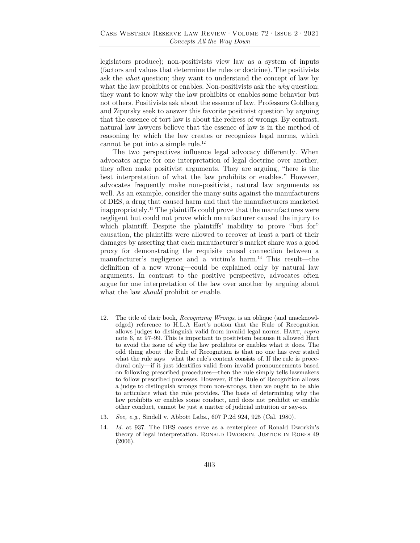legislators produce); non-positivists view law as a system of inputs (factors and values that determine the rules or doctrine). The positivists ask the *what* question; they want to understand the concept of law by what the law prohibits or enables. Non-positivists ask the *why* question; they want to know why the law prohibits or enables some behavior but not others. Positivists ask about the essence of law. Professors Goldberg and Zipursky seek to answer this favorite positivist question by arguing that the essence of tort law is about the redress of wrongs. By contrast, natural law lawyers believe that the essence of law is in the method of reasoning by which the law creates or recognizes legal norms, which cannot be put into a simple rule.<sup>12</sup>

The two perspectives influence legal advocacy differently. When advocates argue for one interpretation of legal doctrine over another, they often make positivist arguments. They are arguing, "here is the best interpretation of what the law prohibits or enables." However, advocates frequently make non-positivist, natural law arguments as well. As an example, consider the many suits against the manufacturers of DES, a drug that caused harm and that the manufacturers marketed inappropriately.13 The plaintiffs could prove that the manufactures were negligent but could not prove which manufacturer caused the injury to which plaintiff. Despite the plaintiffs' inability to prove "but for" causation, the plaintiffs were allowed to recover at least a part of their damages by asserting that each manufacturer's market share was a good proxy for demonstrating the requisite causal connection between a manufacturer's negligence and a victim's harm.14 This result—the definition of a new wrong—could be explained only by natural law arguments. In contrast to the positive perspective, advocates often argue for one interpretation of the law over another by arguing about what the law *should* prohibit or enable.

<sup>12.</sup> The title of their book, *Recognizing Wrongs*, is an oblique (and unacknowledged) reference to H.L.A Hart's notion that the Rule of Recognition allows judges to distinguish valid from invalid legal norms. Hart, *supra* note 6, at 97–99. This is important to positivism because it allowed Hart to avoid the issue of *why* the law prohibits or enables what it does. The odd thing about the Rule of Recognition is that no one has ever stated what the rule says—what the rule's content consists of. If the rule is procedural only—if it just identifies valid from invalid pronouncements based on following prescribed procedures—then the rule simply tells lawmakers to follow prescribed processes. However, if the Rule of Recognition allows a judge to distinguish wrongs from non-wrongs, then we ought to be able to articulate what the rule provides. The basis of determining why the law prohibits or enables some conduct, and does not prohibit or enable other conduct, cannot be just a matter of judicial intuition or say-so.

<sup>13.</sup> *See, e.g.*, Sindell v. Abbott Labs., 607 P.2d 924, 925 (Cal. 1980).

<sup>14.</sup> *Id.* at 937. The DES cases serve as a centerpiece of Ronald Dworkin's theory of legal interpretation. RONALD DWORKIN, JUSTICE IN ROBES 49 (2006).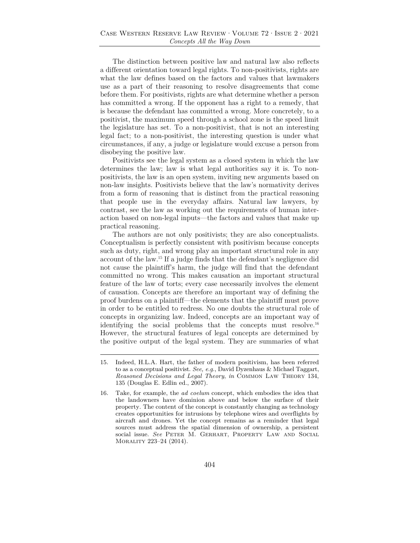The distinction between positive law and natural law also reflects a different orientation toward legal rights. To non-positivists, rights are what the law defines based on the factors and values that lawmakers use as a part of their reasoning to resolve disagreements that come before them. For positivists, rights are what determine whether a person has committed a wrong. If the opponent has a right to a remedy, that is because the defendant has committed a wrong. More concretely, to a positivist, the maximum speed through a school zone is the speed limit the legislature has set. To a non-positivist, that is not an interesting legal fact; to a non-positivist, the interesting question is under what circumstances, if any, a judge or legislature would excuse a person from disobeying the positive law.

Positivists see the legal system as a closed system in which the law determines the law; law is what legal authorities say it is. To nonpositivists, the law is an open system, inviting new arguments based on non-law insights. Positivists believe that the law's normativity derives from a form of reasoning that is distinct from the practical reasoning that people use in the everyday affairs. Natural law lawyers, by contrast, see the law as working out the requirements of human interaction based on non-legal inputs—the factors and values that make up practical reasoning.

The authors are not only positivists; they are also conceptualists. Conceptualism is perfectly consistent with positivism because concepts such as duty, right, and wrong play an important structural role in any account of the law.15 If a judge finds that the defendant's negligence did not cause the plaintiff's harm, the judge will find that the defendant committed no wrong. This makes causation an important structural feature of the law of torts; every case necessarily involves the element of causation. Concepts are therefore an important way of defining the proof burdens on a plaintiff—the elements that the plaintiff must prove in order to be entitled to redress. No one doubts the structural role of concepts in organizing law. Indeed, concepts are an important way of identifying the social problems that the concepts must resolve.16 However, the structural features of legal concepts are determined by the positive output of the legal system. They are summaries of what

<sup>15.</sup> Indeed, H.L.A. Hart, the father of modern positivism, has been referred to as a conceptual positivist. *See, e.g.*, David Dyzenhaus & Michael Taggart, *Reasoned Decisions and Legal Theory*, *in* Common Law Theory 134, 135 (Douglas E. Edlin ed., 2007).

<sup>16.</sup> Take, for example, the *ad coelum* concept, which embodies the idea that the landowners have dominion above and below the surface of their property. The content of the concept is constantly changing as technology creates opportunities for intrusions by telephone wires and overflights by aircraft and drones. Yet the concept remains as a reminder that legal sources must address the spatial dimension of ownership, a persistent social issue. *See* Peter M. Gerhart, Property Law and Social Morality 223–24 (2014).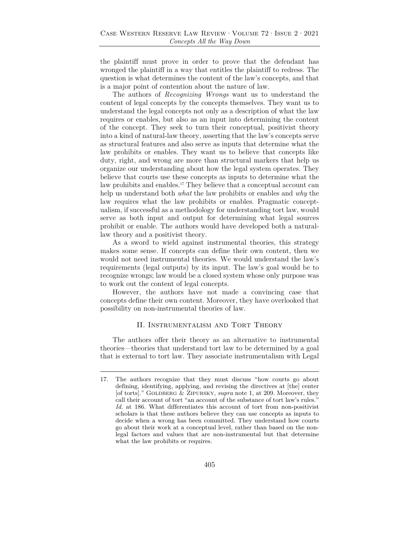the plaintiff must prove in order to prove that the defendant has wronged the plaintiff in a way that entitles the plaintiff to redress. The question is what determines the content of the law's concepts, and that is a major point of contention about the nature of law.

The authors of *Recognizing Wrongs* want us to understand the content of legal concepts by the concepts themselves. They want us to understand the legal concepts not only as a description of what the law requires or enables, but also as an input into determining the content of the concept. They seek to turn their conceptual, positivist theory into a kind of natural-law theory, asserting that the law's concepts serve as structural features and also serve as inputs that determine what the law prohibits or enables. They want us to believe that concepts like duty, right, and wrong are more than structural markers that help us organize our understanding about how the legal system operates. They believe that courts use these concepts as inputs to determine what the law prohibits and enables.<sup>17</sup> They believe that a conceptual account can help us understand both *what* the law prohibits or enables and *why* the law requires what the law prohibits or enables. Pragmatic conceptualism, if successful as a methodology for understanding tort law, would serve as both input and output for determining what legal sources prohibit or enable. The authors would have developed both a naturallaw theory and a positivist theory.

As a sword to wield against instrumental theories, this strategy makes some sense. If concepts can define their own content, then we would not need instrumental theories. We would understand the law's requirements (legal outputs) by its input. The law's goal would be to recognize wrongs; law would be a closed system whose only purpose was to work out the content of legal concepts.

However, the authors have not made a convincing case that concepts define their own content. Moreover, they have overlooked that possibility on non-instrumental theories of law.

#### II. Instrumentalism and Tort Theory

The authors offer their theory as an alternative to instrumental theories—theories that understand tort law to be determined by a goal that is external to tort law. They associate instrumentalism with Legal

<sup>17.</sup> The authors recognize that they must discuss "how courts go about defining, identifying, applying, and revising the directives at [the] center [of torts]." GOLDBERG & ZIPURSKY, *supra* note 1, at 209. Moreover, they call their account of tort "an account of the substance of tort law's rules." *Id.* at 186. What differentiates this account of tort from non-positivist scholars is that these authors believe they can use concepts as inputs to decide when a wrong has been committed. They understand how courts go about their work at a conceptual level, rather than based on the nonlegal factors and values that are non-instrumental but that determine what the law prohibits or requires.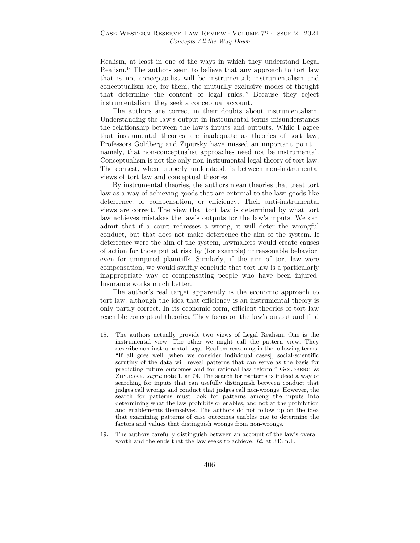Realism, at least in one of the ways in which they understand Legal Realism.18 The authors seem to believe that any approach to tort law that is not conceptualist will be instrumental; instrumentalism and conceptualism are, for them, the mutually exclusive modes of thought that determine the content of legal rules.19 Because they reject instrumentalism, they seek a conceptual account.

The authors are correct in their doubts about instrumentalism. Understanding the law's output in instrumental terms misunderstands the relationship between the law's inputs and outputs. While I agree that instrumental theories are inadequate as theories of tort law, Professors Goldberg and Zipursky have missed an important point namely, that non-conceptualist approaches need not be instrumental. Conceptualism is not the only non-instrumental legal theory of tort law. The contest, when properly understood, is between non-instrumental views of tort law and conceptual theories.

By instrumental theories, the authors mean theories that treat tort law as a way of achieving goods that are external to the law: goods like deterrence, or compensation, or efficiency. Their anti-instrumental views are correct. The view that tort law is determined by what tort law achieves mistakes the law's outputs for the law's inputs. We can admit that if a court redresses a wrong, it will deter the wrongful conduct, but that does not make deterrence the aim of the system. If deterrence were the aim of the system, lawmakers would create causes of action for those put at risk by (for example) unreasonable behavior, even for uninjured plaintiffs. Similarly, if the aim of tort law were compensation, we would swiftly conclude that tort law is a particularly inappropriate way of compensating people who have been injured. Insurance works much better.

The author's real target apparently is the economic approach to tort law, although the idea that efficiency is an instrumental theory is only partly correct. In its economic form, efficient theories of tort law resemble conceptual theories. They focus on the law's output and find

<sup>18.</sup> The authors actually provide two views of Legal Realism. One is the instrumental view. The other we might call the pattern view. They describe non-instrumental Legal Realism reasoning in the following terms: "If all goes well [when we consider individual cases], social-scientific scrutiny of the data will reveal patterns that can serve as the basis for predicting future outcomes and for rational law reform." GOLDBERG  $\&$ Zipursky, *supra* note 1, at 74. The search for patterns is indeed a way of searching for inputs that can usefully distinguish between conduct that judges call wrongs and conduct that judges call non-wrongs. However, the search for patterns must look for patterns among the inputs into determining what the law prohibits or enables, and not at the prohibition and enablements themselves. The authors do not follow up on the idea that examining patterns of case outcomes enables one to determine the factors and values that distinguish wrongs from non-wrongs.

<sup>19.</sup> The authors carefully distinguish between an account of the law's overall worth and the ends that the law seeks to achieve. *Id.* at 343 n.1.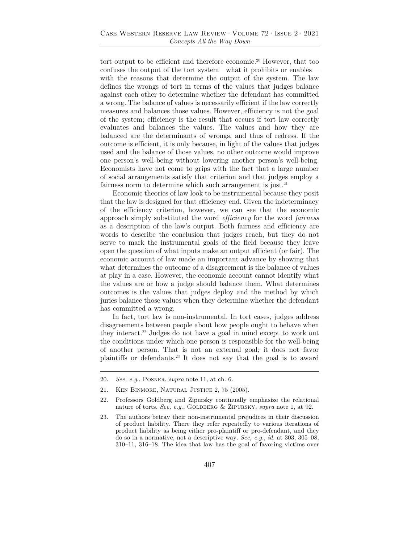tort output to be efficient and therefore economic.20 However, that too confuses the output of the tort system—what it prohibits or enables with the reasons that determine the output of the system. The law defines the wrongs of tort in terms of the values that judges balance against each other to determine whether the defendant has committed a wrong. The balance of values is necessarily efficient if the law correctly measures and balances those values. However, efficiency is not the goal of the system; efficiency is the result that occurs if tort law correctly evaluates and balances the values. The values and how they are balanced are the determinants of wrongs, and thus of redress. If the outcome is efficient, it is only because, in light of the values that judges used and the balance of those values, no other outcome would improve one person's well-being without lowering another person's well-being. Economists have not come to grips with the fact that a large number of social arrangements satisfy that criterion and that judges employ a fairness norm to determine which such arrangement is just.<sup>21</sup>

Economic theories of law look to be instrumental because they posit that the law is designed for that efficiency end. Given the indeterminacy of the efficiency criterion, however, we can see that the economic approach simply substituted the word *efficiency* for the word *fairness* as a description of the law's output. Both fairness and efficiency are words to describe the conclusion that judges reach, but they do not serve to mark the instrumental goals of the field because they leave open the question of what inputs make an output efficient (or fair). The economic account of law made an important advance by showing that what determines the outcome of a disagreement is the balance of values at play in a case. However, the economic account cannot identify what the values are or how a judge should balance them. What determines outcomes is the values that judges deploy and the method by which juries balance those values when they determine whether the defendant has committed a wrong.

In fact, tort law is non-instrumental. In tort cases, judges address disagreements between people about how people ought to behave when they interact.22 Judges do not have a goal in mind except to work out the conditions under which one person is responsible for the well-being of another person. That is not an external goal; it does not favor plaintiffs or defendants.23 It does not say that the goal is to award

<sup>20.</sup> *See, e.g*., Posner, *supra* note 11, at ch. 6.

<sup>21.</sup> Ken Binmore, Natural Justice 2, 75 (2005).

<sup>22.</sup> Professors Goldberg and Zipursky continually emphasize the relational nature of torts. *See, e.g.*, GOLDBERG & ZIPURSKY, *supra* note 1, at 92.

<sup>23.</sup> The authors betray their non-instrumental prejudices in their discussion of product liability. There they refer repeatedly to various iterations of product liability as being either pro-plaintiff or pro-defendant, and they do so in a normative, not a descriptive way. *See, e.g.*, *id.* at 303, 305–08, 310–11, 316–18. The idea that law has the goal of favoring victims over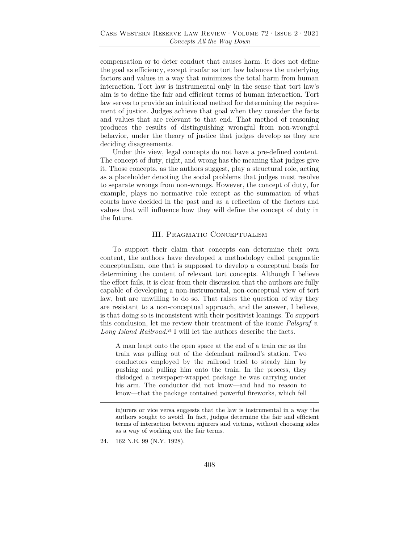compensation or to deter conduct that causes harm. It does not define the goal as efficiency, except insofar as tort law balances the underlying factors and values in a way that minimizes the total harm from human interaction. Tort law is instrumental only in the sense that tort law's aim is to define the fair and efficient terms of human interaction. Tort law serves to provide an intuitional method for determining the requirement of justice. Judges achieve that goal when they consider the facts and values that are relevant to that end. That method of reasoning produces the results of distinguishing wrongful from non-wrongful behavior, under the theory of justice that judges develop as they are deciding disagreements.

Under this view, legal concepts do not have a pre-defined content. The concept of duty, right, and wrong has the meaning that judges give it. Those concepts, as the authors suggest, play a structural role, acting as a placeholder denoting the social problems that judges must resolve to separate wrongs from non-wrongs. However, the concept of duty, for example, plays no normative role except as the summation of what courts have decided in the past and as a reflection of the factors and values that will influence how they will define the concept of duty in the future.

#### III. Pragmatic Conceptualism

To support their claim that concepts can determine their own content, the authors have developed a methodology called pragmatic conceptualism, one that is supposed to develop a conceptual basis for determining the content of relevant tort concepts. Although I believe the effort fails, it is clear from their discussion that the authors are fully capable of developing a non-instrumental, non-conceptual view of tort law, but are unwilling to do so. That raises the question of why they are resistant to a non-conceptual approach, and the answer, I believe, is that doing so is inconsistent with their positivist leanings. To support this conclusion, let me review their treatment of the iconic *Palsgraf v. Long Island Railroad*. 24 I will let the authors describe the facts.

A man leapt onto the open space at the end of a train car as the train was pulling out of the defendant railroad's station. Two conductors employed by the railroad tried to steady him by pushing and pulling him onto the train. In the process, they dislodged a newspaper-wrapped package he was carrying under his arm. The conductor did not know—and had no reason to know—that the package contained powerful fireworks, which fell

injurers or vice versa suggests that the law is instrumental in a way the authors sought to avoid. In fact, judges determine the fair and efficient terms of interaction between injurers and victims, without choosing sides as a way of working out the fair terms.

<sup>24. 162</sup> N.E. 99 (N.Y. 1928).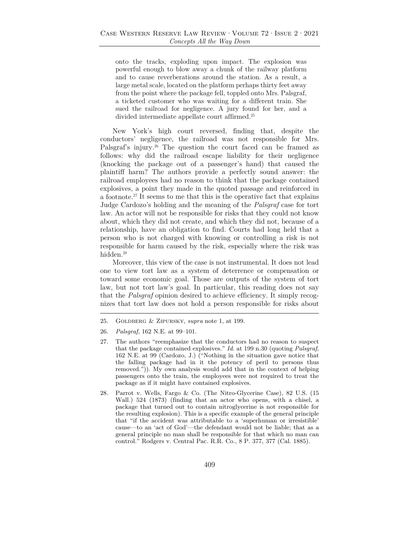onto the tracks, exploding upon impact. The explosion was powerful enough to blow away a chunk of the railway platform and to cause reverberations around the station. As a result, a large metal scale, located on the platform perhaps thirty feet away from the point where the package fell, toppled onto Mrs. Palsgraf, a ticketed customer who was waiting for a different train. She sued the railroad for negligence. A jury found for her, and a divided intermediate appellate court affirmed.<sup>25</sup>

New York's high court reversed, finding that, despite the conductors' negligence, the railroad was not responsible for Mrs. Palsgraf's injury.<sup>26</sup> The question the court faced can be framed as follows: why did the railroad escape liability for their negligence (knocking the package out of a passenger's hand) that caused the plaintiff harm? The authors provide a perfectly sound answer: the railroad employees had no reason to think that the package contained explosives, a point they made in the quoted passage and reinforced in a footnote.27 It seems to me that this is the operative fact that explains Judge Cardozo's holding and the meaning of the *Palsgraf* case for tort law. An actor will not be responsible for risks that they could not know about, which they did not create, and which they did not, because of a relationship, have an obligation to find. Courts had long held that a person who is not charged with knowing or controlling a risk is not responsible for harm caused by the risk, especially where the risk was hidden.28

Moreover, this view of the case is not instrumental. It does not lead one to view tort law as a system of deterrence or compensation or toward some economic goal. Those are outputs of the system of tort law, but not tort law's goal. In particular, this reading does not say that the *Palsgraf* opinion desired to achieve efficiency. It simply recognizes that tort law does not hold a person responsible for risks about

<sup>25.</sup> Goldberg & Zipursky, *supra* note 1, at 199.

<sup>26.</sup> *Palsgraf*, 162 N.E. at 99–101.

<sup>27.</sup> The authors "reemphasize that the conductors had no reason to suspect that the package contained explosives." *Id.* at 199 n.30 (quoting *Palsgraf*, 162 N.E. at 99 (Cardozo, J.) ("Nothing in the situation gave notice that the falling package had in it the potency of peril to persons thus removed.")). My own analysis would add that in the context of helping passengers onto the train, the employees were not required to treat the package as if it might have contained explosives.

<sup>28.</sup> Parrot v. Wells, Fargo & Co. (The Nitro-Glycerine Case), 82 U.S. (15 Wall.) 524 (1873) (finding that an actor who opens, with a chisel, a package that turned out to contain nitroglycerine is not responsible for the resulting explosion). This is a specific example of the general principle that "if the accident was attributable to a 'superhuman or irresistible' cause—to an 'act of God'—the defendant would not be liable; that as a general principle no man shall be responsible for that which no man can control." Rodgers v. Central Pac. R.R. Co., 8 P. 377, 377 (Cal. 1885).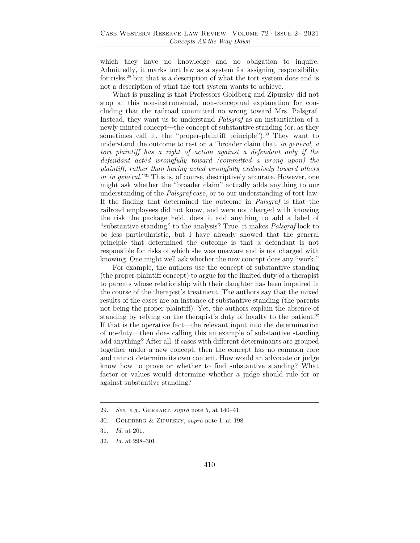which they have no knowledge and no obligation to inquire. Admittedly, it marks tort law as a system for assigning responsibility for risks,<sup>29</sup> but that is a description of what the tort system does and is not a description of what the tort system wants to achieve.

What is puzzling is that Professors Goldberg and Zipursky did not stop at this non-instrumental, non-conceptual explanation for concluding that the railroad committed no wrong toward Mrs. Palsgraf. Instead, they want us to understand *Palsgraf* as an instantiation of a newly minted concept—the concept of substantive standing (or, as they sometimes call it, the "proper-plaintiff principle").<sup>30</sup> They want to understand the outcome to rest on a "broader claim that, *in general, a tort plaintiff has a right of action against a defendant only if the defendant acted wrongfully toward (committed a wrong upon) the plaintiff, rather than having acted wrongfully exclusively toward others or in general.*"31 This is, of course, descriptively accurate. However, one might ask whether the "broader claim" actually adds anything to our understanding of the *Palsgraf* case, or to our understanding of tort law. If the finding that determined the outcome in *Palsgraf* is that the railroad employees did not know, and were not charged with knowing the risk the package held, does it add anything to add a label of "substantive standing" to the analysis? True, it makes *Palsgraf* look to be less particularistic, but I have already showed that the general principle that determined the outcome is that a defendant is not responsible for risks of which she was unaware and is not charged with knowing. One might well ask whether the new concept does any "work."

For example, the authors use the concept of substantive standing (the proper-plaintiff concept) to argue for the limited duty of a therapist to parents whose relationship with their daughter has been impaired in the course of the therapist's treatment. The authors say that the mixed results of the cases are an instance of substantive standing (the parents not being the proper plaintiff). Yet, the authors explain the absence of standing by relying on the therapist's duty of loyalty to the patient.<sup>32</sup> If that is the operative fact—the relevant input into the determination of no-duty—then does calling this an example of substantive standing add anything? After all, if cases with different determinants are grouped together under a new concept, then the concept has no common core and cannot determine its own content. How would an advocate or judge know how to prove or whether to find substantive standing? What factor or values would determine whether a judge should rule for or against substantive standing?

<sup>29.</sup> *See, e.g.*, Gerhart, *supra* note 5, at 140–41.

<sup>30.</sup> Goldberg & Zipursky, *supra* note 1, at 198.

<sup>31.</sup> *Id.* at 201.

<sup>32.</sup> *Id.* at 298–301.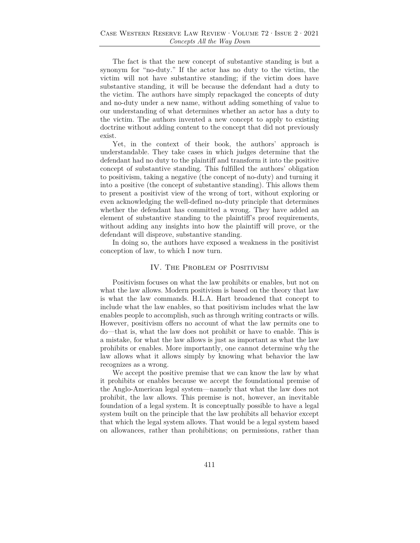The fact is that the new concept of substantive standing is but a synonym for "no-duty." If the actor has no duty to the victim, the victim will not have substantive standing; if the victim does have substantive standing, it will be because the defendant had a duty to the victim. The authors have simply repackaged the concepts of duty and no-duty under a new name, without adding something of value to our understanding of what determines whether an actor has a duty to the victim. The authors invented a new concept to apply to existing doctrine without adding content to the concept that did not previously exist.

Yet, in the context of their book, the authors' approach is understandable. They take cases in which judges determine that the defendant had no duty to the plaintiff and transform it into the positive concept of substantive standing. This fulfilled the authors' obligation to positivism, taking a negative (the concept of no-duty) and turning it into a positive (the concept of substantive standing). This allows them to present a positivist view of the wrong of tort, without exploring or even acknowledging the well-defined no-duty principle that determines whether the defendant has committed a wrong. They have added an element of substantive standing to the plaintiff's proof requirements, without adding any insights into how the plaintiff will prove, or the defendant will disprove, substantive standing.

In doing so, the authors have exposed a weakness in the positivist conception of law, to which I now turn.

### IV. The Problem of Positivism

Positivism focuses on what the law prohibits or enables, but not on what the law allows. Modern positivism is based on the theory that law is what the law commands. H.L.A. Hart broadened that concept to include what the law enables, so that positivism includes what the law enables people to accomplish, such as through writing contracts or wills. However, positivism offers no account of what the law permits one to do—that is, what the law does not prohibit or have to enable. This is a mistake, for what the law allows is just as important as what the law prohibits or enables. More importantly, one cannot determine w*hy* the law allows what it allows simply by knowing what behavior the law recognizes as a wrong.

We accept the positive premise that we can know the law by what it prohibits or enables because we accept the foundational premise of the Anglo-American legal system—namely that what the law does not prohibit, the law allows. This premise is not, however, an inevitable foundation of a legal system. It is conceptually possible to have a legal system built on the principle that the law prohibits all behavior except that which the legal system allows. That would be a legal system based on allowances, rather than prohibitions; on permissions, rather than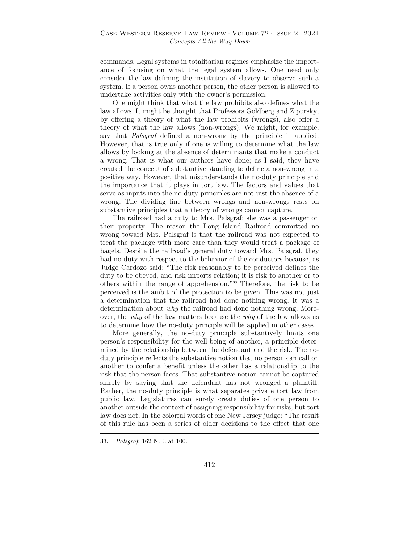commands. Legal systems in totalitarian regimes emphasize the importance of focusing on what the legal system allows. One need only consider the law defining the institution of slavery to observe such a system. If a person owns another person, the other person is allowed to undertake activities only with the owner's permission.

One might think that what the law prohibits also defines what the law allows. It might be thought that Professors Goldberg and Zipursky, by offering a theory of what the law prohibits (wrongs), also offer a theory of what the law allows (non-wrongs). We might, for example, say that *Palsgraf* defined a non-wrong by the principle it applied. However, that is true only if one is willing to determine what the law allows by looking at the absence of determinants that make a conduct a wrong. That is what our authors have done; as I said, they have created the concept of substantive standing to define a non-wrong in a positive way. However, that misunderstands the no-duty principle and the importance that it plays in tort law. The factors and values that serve as inputs into the no-duty principles are not just the absence of a wrong. The dividing line between wrongs and non-wrongs rests on substantive principles that a theory of wrongs cannot capture.

The railroad had a duty to Mrs. Palsgraf; she was a passenger on their property. The reason the Long Island Railroad committed no wrong toward Mrs. Palsgraf is that the railroad was not expected to treat the package with more care than they would treat a package of bagels. Despite the railroad's general duty toward Mrs. Palsgraf, they had no duty with respect to the behavior of the conductors because, as Judge Cardozo said: "The risk reasonably to be perceived defines the duty to be obeyed, and risk imports relation; it is risk to another or to others within the range of apprehension."33 Therefore, the risk to be perceived is the ambit of the protection to be given. This was not just a determination that the railroad had done nothing wrong. It was a determination about *why* the railroad had done nothing wrong. Moreover, the *why* of the law matters because the *why* of the law allows us to determine how the no-duty principle will be applied in other cases.

More generally, the no-duty principle substantively limits one person's responsibility for the well-being of another, a principle determined by the relationship between the defendant and the risk. The noduty principle reflects the substantive notion that no person can call on another to confer a benefit unless the other has a relationship to the risk that the person faces. That substantive notion cannot be captured simply by saying that the defendant has not wronged a plaintiff. Rather, the no-duty principle is what separates private tort law from public law. Legislatures can surely create duties of one person to another outside the context of assigning responsibility for risks, but tort law does not. In the colorful words of one New Jersey judge: "The result of this rule has been a series of older decisions to the effect that one

<sup>33.</sup> *Palsgraf*, 162 N.E. at 100.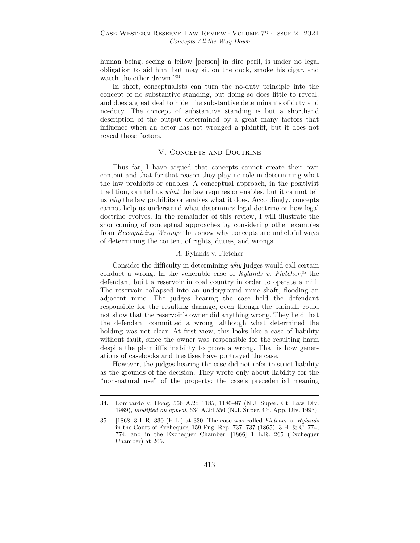human being, seeing a fellow [person] in dire peril, is under no legal obligation to aid him, but may sit on the dock, smoke his cigar, and watch the other drown."34

In short, conceptualists can turn the no-duty principle into the concept of no substantive standing, but doing so does little to reveal, and does a great deal to hide, the substantive determinants of duty and no-duty. The concept of substantive standing is but a shorthand description of the output determined by a great many factors that influence when an actor has not wronged a plaintiff, but it does not reveal those factors.

## V. Concepts and Doctrine

Thus far, I have argued that concepts cannot create their own content and that for that reason they play no role in determining what the law prohibits or enables. A conceptual approach, in the positivist tradition, can tell us *what* the law requires or enables, but it cannot tell us *why* the law prohibits or enables what it does. Accordingly, concepts cannot help us understand what determines legal doctrine or how legal doctrine evolves. In the remainder of this review, I will illustrate the shortcoming of conceptual approaches by considering other examples from *Recognizing Wrongs* that show why concepts are unhelpful ways of determining the content of rights, duties, and wrongs.

### *A.* Rylands v. Fletcher

Consider the difficulty in determining *why* judges would call certain conduct a wrong. In the venerable case of *Rylands v. Fletcher*, 35 the defendant built a reservoir in coal country in order to operate a mill. The reservoir collapsed into an underground mine shaft, flooding an adjacent mine. The judges hearing the case held the defendant responsible for the resulting damage, even though the plaintiff could not show that the reservoir's owner did anything wrong. They held that the defendant committed a wrong, although what determined the holding was not clear. At first view, this looks like a case of liability without fault, since the owner was responsible for the resulting harm despite the plaintiff's inability to prove a wrong. That is how generations of casebooks and treatises have portrayed the case.

However, the judges hearing the case did not refer to strict liability as the grounds of the decision. They wrote only about liability for the "non-natural use" of the property; the case's precedential meaning

<sup>34.</sup> Lombardo v. Hoag, 566 A.2d 1185, 1186–87 (N.J. Super. Ct. Law Div. 1989), *modified on appeal*, 634 A.2d 550 (N.J. Super. Ct. App. Div. 1993).

<sup>35. [1868] 3</sup> L.R. 330 (H.L.) at 330. The case was called *Fletcher v. Rylands* in the Court of Exchequer, 159 Eng. Rep. 737, 737 (1865); 3 H. & C. 774, 774, and in the Exchequer Chamber, [1866] 1 L.R. 265 (Exchequer Chamber) at 265.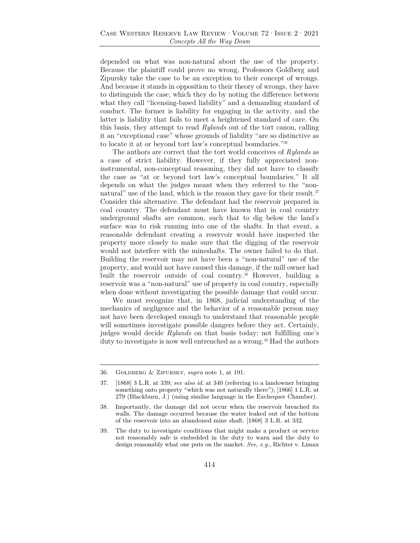depended on what was non-natural about the use of the property. Because the plaintiff could prove no wrong, Professors Goldberg and Zipursky take the case to be an exception to their concept of wrongs. And because it stands in opposition to their theory of wrongs, they have to distinguish the case, which they do by noting the difference between what they call "licensing-based liability" and a demanding standard of conduct. The former is liability for engaging in the activity, and the latter is liability that fails to meet a heightened standard of care. On this basis, they attempt to read *Rylands* out of the tort canon, calling it an "exceptional case" whose grounds of liability "are so distinctive as to locate it at or beyond tort law's conceptual boundaries."36

The authors are correct that the tort world conceives of *Rylands* as a case of strict liability. However, if they fully appreciated noninstrumental, non-conceptual reasoning, they did not have to classify the case as "at or beyond tort law's conceptual boundaries." It all depends on what the judges meant when they referred to the "nonnatural" use of the land, which is the reason they gave for their result.<sup>37</sup> Consider this alternative. The defendant had the reservoir prepared in coal country. The defendant must have known that in coal country underground shafts are common, such that to dig below the land's surface was to risk running into one of the shafts. In that event, a reasonable defendant creating a reservoir would have inspected the property more closely to make sure that the digging of the reservoir would not interfere with the mineshafts. The owner failed to do that. Building the reservoir may not have been a "non-natural" use of the property, and would not have caused this damage, if the mill owner had built the reservoir outside of coal country.38 However, building a reservoir was a "non-natural" use of property in coal country, especially when done without investigating the possible damage that could occur.

We must recognize that, in 1868, judicial understanding of the mechanics of negligence and the behavior of a reasonable person may not have been developed enough to understand that reasonable people will sometimes investigate possible dangers before they act. Certainly, judges would decide *Rylands* on that basis today; not fulfilling one's duty to investigate is now well entrenched as a wrong.<sup>39</sup> Had the authors

<sup>36.</sup> Goldberg & Zipursky, *supra* note 1, at 191.

<sup>37. [1868] 3</sup> L.R. at 339; *see also id*. at 340 (referring to a landowner bringing something onto property "which was not naturally there"); [1866] 1 L.R. at 279 (Blackburn, J.) (using similar language in the Exchequer Chamber).

<sup>38.</sup> Importantly, the damage did not occur when the reservoir breached its walls. The damage occurred because the water leaked out of the bottom of the reservoir into an abandoned mine shaft. [1868] 3 L.R. at 332.

<sup>39.</sup> The duty to investigate conditions that might make a product or service not reasonably safe is embedded in the duty to warn and the duty to design reasonably what one puts on the market. *See, e.g.*, Richter v. Limax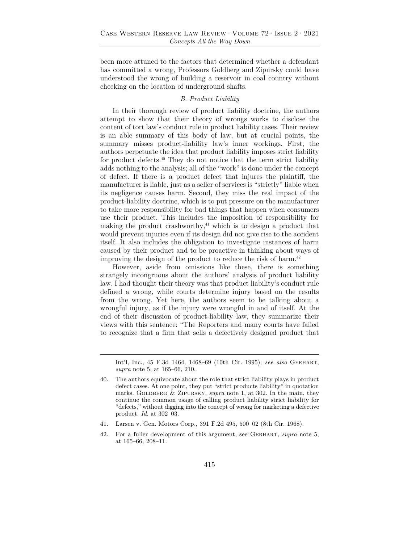been more attuned to the factors that determined whether a defendant has committed a wrong, Professors Goldberg and Zipursky could have understood the wrong of building a reservoir in coal country without checking on the location of underground shafts.

### *B. Product Liability*

In their thorough review of product liability doctrine, the authors attempt to show that their theory of wrongs works to disclose the content of tort law's conduct rule in product liability cases. Their review is an able summary of this body of law, but at crucial points, the summary misses product-liability law's inner workings. First, the authors perpetuate the idea that product liability imposes strict liability for product defects.40 They do not notice that the term strict liability adds nothing to the analysis; all of the "work" is done under the concept of defect. If there is a product defect that injures the plaintiff, the manufacturer is liable, just as a seller of services is "strictly" liable when its negligence causes harm. Second, they miss the real impact of the product-liability doctrine, which is to put pressure on the manufacturer to take more responsibility for bad things that happen when consumers use their product. This includes the imposition of responsibility for making the product crashworthy, $41$  which is to design a product that would prevent injuries even if its design did not give rise to the accident itself. It also includes the obligation to investigate instances of harm caused by their product and to be proactive in thinking about ways of improving the design of the product to reduce the risk of harm. $42$ 

However, aside from omissions like these, there is something strangely incongruous about the authors' analysis of product liability law. I had thought their theory was that product liability's conduct rule defined a wrong, while courts determine injury based on the results from the wrong. Yet here, the authors seem to be talking about a wrongful injury, as if the injury were wrongful in and of itself. At the end of their discussion of product-liability law, they summarize their views with this sentence: "The Reporters and many courts have failed to recognize that a firm that sells a defectively designed product that

- 41. Larsen v. Gen. Motors Corp., 391 F.2d 495, 500–02 (8th Cir. 1968).
- 42. For a fuller development of this argument, see Gerhart, *supra* note 5, at 165–66, 208–11.

Int'l, Inc., 45 F.3d 1464, 1468–69 (10th Cir. 1995); *see also* Gerhart, *supra* note 5, at 165–66, 210.

<sup>40.</sup> The authors equivocate about the role that strict liability plays in product defect cases. At one point, they put "strict products liability" in quotation marks. GOLDBERG & ZIPURSKY, *supra* note 1, at 302. In the main, they continue the common usage of calling product liability strict liability for "defects," without digging into the concept of wrong for marketing a defective product. *Id.* at 302–03.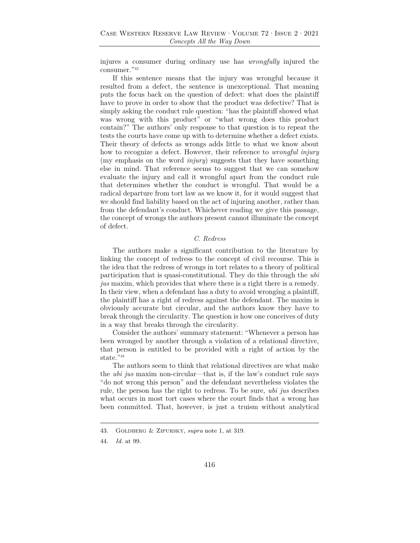injures a consumer during ordinary use has *wrongfully* injured the consumer."43

If this sentence means that the injury was wrongful because it resulted from a defect, the sentence is unexceptional. That meaning puts the focus back on the question of defect: what does the plaintiff have to prove in order to show that the product was defective? That is simply asking the conduct rule question: "has the plaintiff showed what was wrong with this product" or "what wrong does this product contain?" The authors' only response to that question is to repeat the tests the courts have come up with to determine whether a defect exists. Their theory of defects as wrongs adds little to what we know about how to recognize a defect. However, their reference to *wrongful injury* (my emphasis on the word *injury*) suggests that they have something else in mind. That reference seems to suggest that we can somehow evaluate the injury and call it wrongful apart from the conduct rule that determines whether the conduct is wrongful. That would be a radical departure from tort law as we know it, for it would suggest that we should find liability based on the act of injuring another, rather than from the defendant's conduct. Whichever reading we give this passage, the concept of wrongs the authors present cannot illuminate the concept of defect.

### *C. Redress*

The authors make a significant contribution to the literature by linking the concept of redress to the concept of civil recourse. This is the idea that the redress of wrongs in tort relates to a theory of political participation that is quasi-constitutional. They do this through the *ubi jus* maxim, which provides that where there is a right there is a remedy. In their view, when a defendant has a duty to avoid wronging a plaintiff, the plaintiff has a right of redress against the defendant. The maxim is obviously accurate but circular, and the authors know they have to break through the circularity. The question is how one conceives of duty in a way that breaks through the circularity.

Consider the authors' summary statement: "Whenever a person has been wronged by another through a violation of a relational directive, that person is entitled to be provided with a right of action by the  $\rm state.$  "44

The authors seem to think that relational directives are what make the *ubi jus* maxim non-circular—that is, if the law's conduct rule says "do not wrong this person" and the defendant nevertheless violates the rule, the person has the right to redress. To be sure, *ubi jus* describes what occurs in most tort cases where the court finds that a wrong has been committed. That, however, is just a truism without analytical

<sup>43.</sup> Goldberg & Zipursky, *supra* note 1, at 319.

<sup>44.</sup> *Id.* at 99.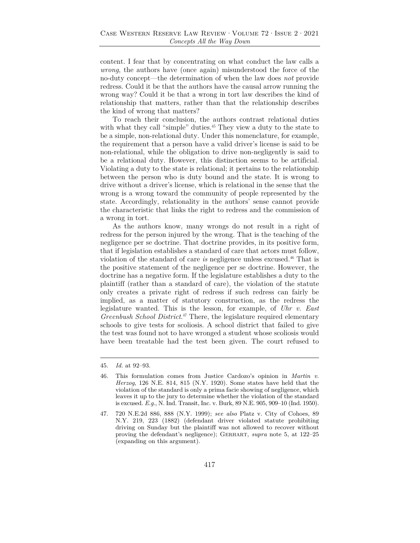content. I fear that by concentrating on what conduct the law calls a *wrong*, the authors have (once again) misunderstood the force of the no-duty concept—the determination of when the law does *not* provide redress. Could it be that the authors have the causal arrow running the wrong way? Could it be that a wrong in tort law describes the kind of relationship that matters, rather than that the relationship describes the kind of wrong that matters?

To reach their conclusion, the authors contrast relational duties with what they call "simple" duties.<sup>45</sup> They view a duty to the state to be a simple, non-relational duty. Under this nomenclature, for example, the requirement that a person have a valid driver's license is said to be non-relational, while the obligation to drive non-negligently is said to be a relational duty. However, this distinction seems to be artificial. Violating a duty to the state is relational; it pertains to the relationship between the person who is duty bound and the state. It is wrong to drive without a driver's license, which is relational in the sense that the wrong is a wrong toward the community of people represented by the state. Accordingly, relationality in the authors' sense cannot provide the characteristic that links the right to redress and the commission of a wrong in tort.

As the authors know, many wrongs do not result in a right of redress for the person injured by the wrong. That is the teaching of the negligence per se doctrine. That doctrine provides, in its positive form, that if legislation establishes a standard of care that actors must follow, violation of the standard of care *is* negligence unless excused.46 That is the positive statement of the negligence per se doctrine. However, the doctrine has a negative form. If the legislature establishes a duty to the plaintiff (rather than a standard of care), the violation of the statute only creates a private right of redress if such redress can fairly be implied, as a matter of statutory construction, as the redress the legislature wanted. This is the lesson, for example, of *Uhr v. East Greenbush School District*. 47 There, the legislature required elementary schools to give tests for scoliosis. A school district that failed to give the test was found not to have wronged a student whose scoliosis would have been treatable had the test been given. The court refused to

<sup>45.</sup> *Id.* at 92–93.

<sup>46.</sup> This formulation comes from Justice Cardozo's opinion in *Martin v. Herzog*, 126 N.E. 814, 815 (N.Y. 1920). Some states have held that the violation of the standard is only a prima facie showing of negligence, which leaves it up to the jury to determine whether the violation of the standard is excused. *E.g.*, N. Ind. Transit, Inc. v. Burk, 89 N.E. 905, 909–10 (Ind. 1950).

<sup>47. 720</sup> N.E.2d 886, 888 (N.Y. 1999); *see also* Platz v. City of Cohoes, 89 N.Y. 219, 223 (1882) (defendant driver violated statute prohibiting driving on Sunday but the plaintiff was not allowed to recover without proving the defendant's negligence); Gerhart, *supra* note 5, at 122–25 (expanding on this argument).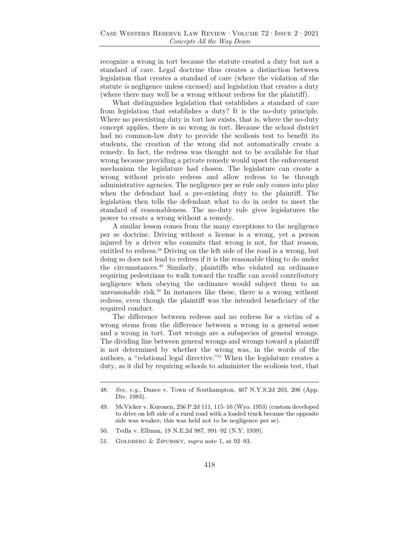recognize a wrong in tort because the statute created a duty but not a standard of care. Legal doctrine thus creates a distinction between legislation that creates a standard of care (where the violation of the statute *is* negligence unless excused) and legislation that creates a duty (where there may well be a wrong without redress for the plaintiff).

What distinguishes legislation that establishes a standard of care from legislation that establishes a duty? It is the no-duty principle. Where no preexisting duty in tort law exists, that is, where the no-duty concept applies, there is no wrong in tort. Because the school district had no common-law duty to provide the scoliosis test to benefit its students, the creation of the wrong did not automatically create a remedy. In fact, the redress was thought not to be available for that wrong because providing a private remedy would upset the enforcement mechanism the legislature had chosen. The legislature can create a wrong without private redress and allow redress to be through administrative agencies. The negligence per se rule only comes into play when the defendant had a pre-existing duty to the plaintiff. The legislation then tells the defendant what to do in order to meet the standard of reasonableness. The no-duty rule gives legislatures the power to create a wrong without a remedy.

A similar lesson comes from the many exceptions to the negligence per se doctrine. Driving without a license is a wrong, yet a person injured by a driver who commits that wrong is not, for that reason, entitled to redress.<sup>48</sup> Driving on the left side of the road is a wrong, but doing so does not lead to redress if it is the reasonable thing to do under the circumstances.49 Similarly, plaintiffs who violated an ordinance requiring pedestrians to walk toward the traffic can avoid contributory negligence when obeying the ordinance would subject them to an unreasonable risk.<sup>50</sup> In instances like these, there is a wrong without redress, even though the plaintiff was the intended beneficiary of the required conduct.

The difference between redress and no redress for a victim of a wrong stems from the difference between a wrong in a general sense and a wrong in tort. Tort wrongs are a subspecies of general wrongs. The dividing line between general wrongs and wrongs toward a plaintiff is not determined by whether the wrong was, in the words of the authors, a "relational legal directive."51 When the legislature creates a duty, as it did by requiring schools to administer the scoliosis test, that

<sup>48.</sup> *See, e.g.*, Dance v. Town of Southampton, 467 N.Y.S.2d 203, 206 (App. Div. 1983).

<sup>49.</sup> McVicker v. Kuronen, 256 P.2d 111, 115–16 (Wyo. 1953) (custom developed to drive on left side of a rural road with a loaded truck because the opposite side was weaker; this was held not to be negligence per se).

<sup>50.</sup> Tedla v. Ellman, 19 N.E.2d 987, 991–92 (N.Y. 1939).

<sup>51.</sup> Goldberg & Zipursky, *supra* note 1, at 92–93.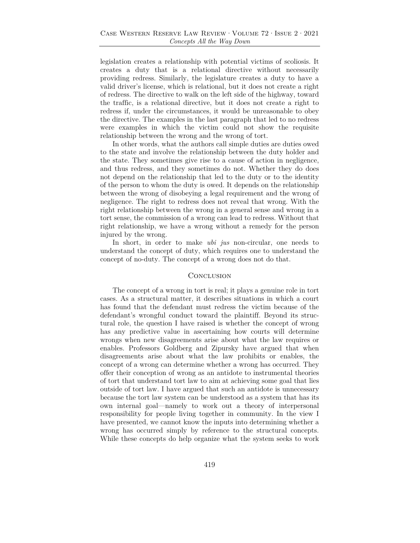legislation creates a relationship with potential victims of scoliosis. It creates a duty that is a relational directive without necessarily providing redress. Similarly, the legislature creates a duty to have a valid driver's license, which is relational, but it does not create a right of redress. The directive to walk on the left side of the highway, toward the traffic, is a relational directive, but it does not create a right to redress if, under the circumstances, it would be unreasonable to obey the directive. The examples in the last paragraph that led to no redress were examples in which the victim could not show the requisite relationship between the wrong and the wrong of tort.

In other words, what the authors call simple duties are duties owed to the state and involve the relationship between the duty holder and the state. They sometimes give rise to a cause of action in negligence, and thus redress, and they sometimes do not. Whether they do does not depend on the relationship that led to the duty or to the identity of the person to whom the duty is owed. It depends on the relationship between the wrong of disobeying a legal requirement and the wrong of negligence. The right to redress does not reveal that wrong. With the right relationship between the wrong in a general sense and wrong in a tort sense, the commission of a wrong can lead to redress. Without that right relationship, we have a wrong without a remedy for the person injured by the wrong.

In short, in order to make *ubi jus* non-circular, one needs to understand the concept of duty, which requires one to understand the concept of no-duty. The concept of a wrong does not do that.

#### **CONCLUSION**

The concept of a wrong in tort is real; it plays a genuine role in tort cases. As a structural matter, it describes situations in which a court has found that the defendant must redress the victim because of the defendant's wrongful conduct toward the plaintiff. Beyond its structural role, the question I have raised is whether the concept of wrong has any predictive value in ascertaining how courts will determine wrongs when new disagreements arise about what the law requires or enables. Professors Goldberg and Zipursky have argued that when disagreements arise about what the law prohibits or enables, the concept of a wrong can determine whether a wrong has occurred. They offer their conception of wrong as an antidote to instrumental theories of tort that understand tort law to aim at achieving some goal that lies outside of tort law. I have argued that such an antidote is unnecessary because the tort law system can be understood as a system that has its own internal goal—namely to work out a theory of interpersonal responsibility for people living together in community. In the view I have presented, we cannot know the inputs into determining whether a wrong has occurred simply by reference to the structural concepts. While these concepts do help organize what the system seeks to work